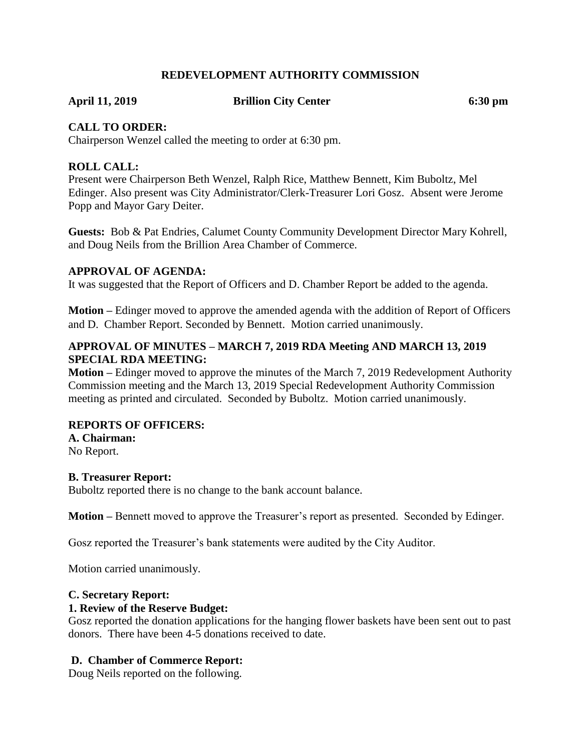### **REDEVELOPMENT AUTHORITY COMMISSION**

**April 11, 2019 Brillion City Center 6:30 pm**

#### **CALL TO ORDER:**

Chairperson Wenzel called the meeting to order at 6:30 pm.

#### **ROLL CALL:**

Present were Chairperson Beth Wenzel, Ralph Rice, Matthew Bennett, Kim Buboltz, Mel Edinger. Also present was City Administrator/Clerk-Treasurer Lori Gosz. Absent were Jerome Popp and Mayor Gary Deiter.

**Guests:** Bob & Pat Endries, Calumet County Community Development Director Mary Kohrell, and Doug Neils from the Brillion Area Chamber of Commerce.

#### **APPROVAL OF AGENDA:**

It was suggested that the Report of Officers and D. Chamber Report be added to the agenda.

**Motion –** Edinger moved to approve the amended agenda with the addition of Report of Officers and D. Chamber Report. Seconded by Bennett. Motion carried unanimously.

### **APPROVAL OF MINUTES – MARCH 7, 2019 RDA Meeting AND MARCH 13, 2019 SPECIAL RDA MEETING:**

**Motion –** Edinger moved to approve the minutes of the March 7, 2019 Redevelopment Authority Commission meeting and the March 13, 2019 Special Redevelopment Authority Commission meeting as printed and circulated. Seconded by Buboltz. Motion carried unanimously.

#### **REPORTS OF OFFICERS:**

**A. Chairman:**

No Report.

#### **B. Treasurer Report:**

Buboltz reported there is no change to the bank account balance.

**Motion –** Bennett moved to approve the Treasurer's report as presented. Seconded by Edinger.

Gosz reported the Treasurer's bank statements were audited by the City Auditor.

Motion carried unanimously.

#### **C. Secretary Report:**

#### **1. Review of the Reserve Budget:**

Gosz reported the donation applications for the hanging flower baskets have been sent out to past donors. There have been 4-5 donations received to date.

#### **D. Chamber of Commerce Report:**

Doug Neils reported on the following.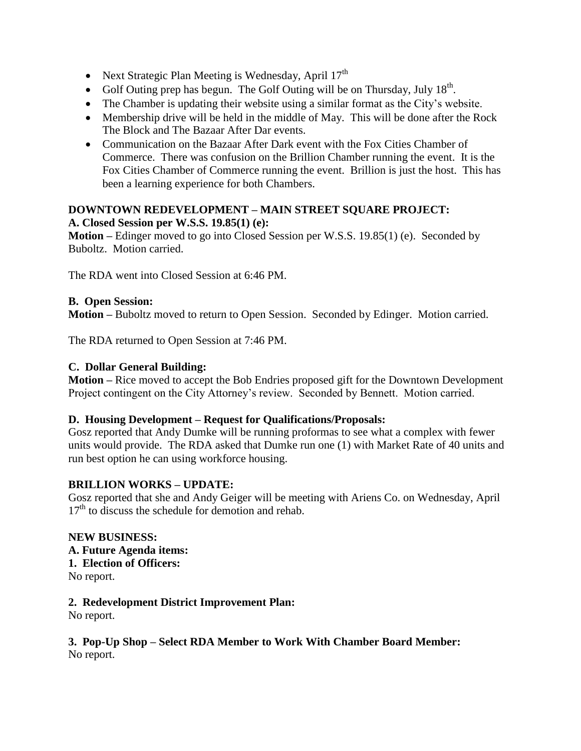- Next Strategic Plan Meeting is Wednesday, April  $17<sup>th</sup>$
- Golf Outing prep has begun. The Golf Outing will be on Thursday, July  $18<sup>th</sup>$ .
- The Chamber is updating their website using a similar format as the City's website.
- Membership drive will be held in the middle of May. This will be done after the Rock The Block and The Bazaar After Dar events.
- Communication on the Bazaar After Dark event with the Fox Cities Chamber of Commerce. There was confusion on the Brillion Chamber running the event. It is the Fox Cities Chamber of Commerce running the event. Brillion is just the host. This has been a learning experience for both Chambers.

### **DOWNTOWN REDEVELOPMENT – MAIN STREET SQUARE PROJECT: A. Closed Session per W.S.S. 19.85(1) (e):**

**Motion –** Edinger moved to go into Closed Session per W.S.S. 19.85(1) (e). Seconded by Buboltz. Motion carried.

The RDA went into Closed Session at 6:46 PM.

#### **B. Open Session:**

**Motion –** Buboltz moved to return to Open Session. Seconded by Edinger. Motion carried.

The RDA returned to Open Session at 7:46 PM.

#### **C. Dollar General Building:**

**Motion –** Rice moved to accept the Bob Endries proposed gift for the Downtown Development Project contingent on the City Attorney's review. Seconded by Bennett. Motion carried.

# **D. Housing Development – Request for Qualifications/Proposals:**

Gosz reported that Andy Dumke will be running proformas to see what a complex with fewer units would provide. The RDA asked that Dumke run one (1) with Market Rate of 40 units and run best option he can using workforce housing.

# **BRILLION WORKS – UPDATE:**

Gosz reported that she and Andy Geiger will be meeting with Ariens Co. on Wednesday, April  $17<sup>th</sup>$  to discuss the schedule for demotion and rehab.

**NEW BUSINESS: A. Future Agenda items: 1. Election of Officers:** No report.

# **2. Redevelopment District Improvement Plan:**

No report.

# **3. Pop-Up Shop – Select RDA Member to Work With Chamber Board Member:** No report.